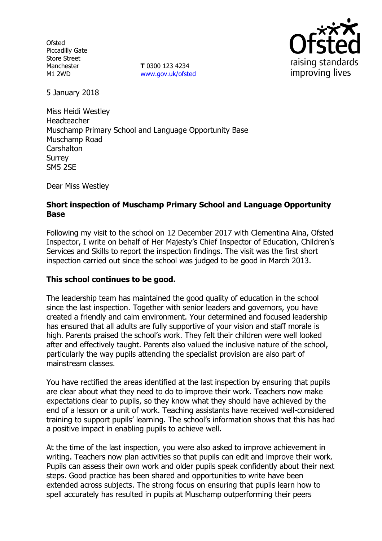**Ofsted** Piccadilly Gate Store Street Manchester M1 2WD

**T** 0300 123 4234 www.gov.uk/ofsted



5 January 2018

Miss Heidi Westley Headteacher Muschamp Primary School and Language Opportunity Base Muschamp Road **Carshalton** Surrey SM5 2SE

Dear Miss Westley

## **Short inspection of Muschamp Primary School and Language Opportunity Base**

Following my visit to the school on 12 December 2017 with Clementina Aina, Ofsted Inspector, I write on behalf of Her Majesty's Chief Inspector of Education, Children's Services and Skills to report the inspection findings. The visit was the first short inspection carried out since the school was judged to be good in March 2013.

### **This school continues to be good.**

The leadership team has maintained the good quality of education in the school since the last inspection. Together with senior leaders and governors, you have created a friendly and calm environment. Your determined and focused leadership has ensured that all adults are fully supportive of your vision and staff morale is high. Parents praised the school's work. They felt their children were well looked after and effectively taught. Parents also valued the inclusive nature of the school, particularly the way pupils attending the specialist provision are also part of mainstream classes.

You have rectified the areas identified at the last inspection by ensuring that pupils are clear about what they need to do to improve their work. Teachers now make expectations clear to pupils, so they know what they should have achieved by the end of a lesson or a unit of work. Teaching assistants have received well-considered training to support pupils' learning. The school's information shows that this has had a positive impact in enabling pupils to achieve well.

At the time of the last inspection, you were also asked to improve achievement in writing. Teachers now plan activities so that pupils can edit and improve their work. Pupils can assess their own work and older pupils speak confidently about their next steps. Good practice has been shared and opportunities to write have been extended across subjects. The strong focus on ensuring that pupils learn how to spell accurately has resulted in pupils at Muschamp outperforming their peers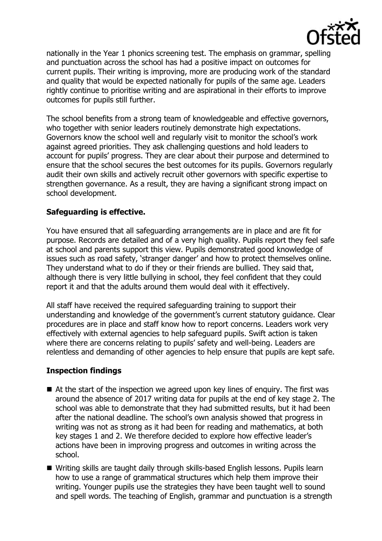

nationally in the Year 1 phonics screening test. The emphasis on grammar, spelling and punctuation across the school has had a positive impact on outcomes for current pupils. Their writing is improving, more are producing work of the standard and quality that would be expected nationally for pupils of the same age. Leaders rightly continue to prioritise writing and are aspirational in their efforts to improve outcomes for pupils still further.

The school benefits from a strong team of knowledgeable and effective governors, who together with senior leaders routinely demonstrate high expectations. Governors know the school well and regularly visit to monitor the school's work against agreed priorities. They ask challenging questions and hold leaders to account for pupils' progress. They are clear about their purpose and determined to ensure that the school secures the best outcomes for its pupils. Governors regularly audit their own skills and actively recruit other governors with specific expertise to strengthen governance. As a result, they are having a significant strong impact on school development.

## **Safeguarding is effective.**

You have ensured that all safeguarding arrangements are in place and are fit for purpose. Records are detailed and of a very high quality. Pupils report they feel safe at school and parents support this view. Pupils demonstrated good knowledge of issues such as road safety, 'stranger danger' and how to protect themselves online. They understand what to do if they or their friends are bullied. They said that, although there is very little bullying in school, they feel confident that they could report it and that the adults around them would deal with it effectively.

All staff have received the required safeguarding training to support their understanding and knowledge of the government's current statutory guidance. Clear procedures are in place and staff know how to report concerns. Leaders work very effectively with external agencies to help safeguard pupils. Swift action is taken where there are concerns relating to pupils' safety and well-being. Leaders are relentless and demanding of other agencies to help ensure that pupils are kept safe.

# **Inspection findings**

- At the start of the inspection we agreed upon key lines of enquiry. The first was around the absence of 2017 writing data for pupils at the end of key stage 2. The school was able to demonstrate that they had submitted results, but it had been after the national deadline. The school's own analysis showed that progress in writing was not as strong as it had been for reading and mathematics, at both key stages 1 and 2. We therefore decided to explore how effective leader's actions have been in improving progress and outcomes in writing across the school.
- Writing skills are taught daily through skills-based English lessons. Pupils learn how to use a range of grammatical structures which help them improve their writing. Younger pupils use the strategies they have been taught well to sound and spell words. The teaching of English, grammar and punctuation is a strength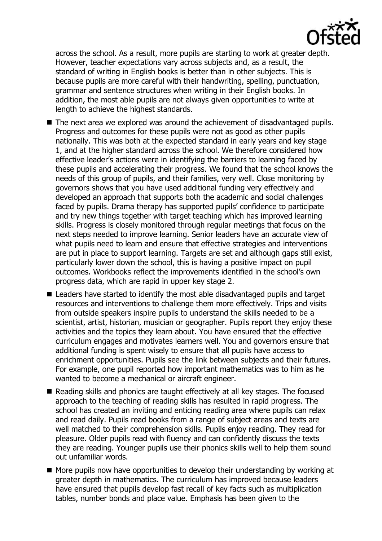

across the school. As a result, more pupils are starting to work at greater depth. However, teacher expectations vary across subjects and, as a result, the standard of writing in English books is better than in other subjects. This is because pupils are more careful with their handwriting, spelling, punctuation, grammar and sentence structures when writing in their English books. In addition, the most able pupils are not always given opportunities to write at length to achieve the highest standards.

- The next area we explored was around the achievement of disadvantaged pupils. Progress and outcomes for these pupils were not as good as other pupils nationally. This was both at the expected standard in early years and key stage 1, and at the higher standard across the school. We therefore considered how effective leader's actions were in identifying the barriers to learning faced by these pupils and accelerating their progress. We found that the school knows the needs of this group of pupils, and their families, very well. Close monitoring by governors shows that you have used additional funding very effectively and developed an approach that supports both the academic and social challenges faced by pupils. Drama therapy has supported pupils' confidence to participate and try new things together with target teaching which has improved learning skills. Progress is closely monitored through regular meetings that focus on the next steps needed to improve learning. Senior leaders have an accurate view of what pupils need to learn and ensure that effective strategies and interventions are put in place to support learning. Targets are set and although gaps still exist, particularly lower down the school, this is having a positive impact on pupil outcomes. Workbooks reflect the improvements identified in the school's own progress data, which are rapid in upper key stage 2.
- Leaders have started to identify the most able disadvantaged pupils and target resources and interventions to challenge them more effectively. Trips and visits from outside speakers inspire pupils to understand the skills needed to be a scientist, artist, historian, musician or geographer. Pupils report they enjoy these activities and the topics they learn about. You have ensured that the effective curriculum engages and motivates learners well. You and governors ensure that additional funding is spent wisely to ensure that all pupils have access to enrichment opportunities. Pupils see the link between subjects and their futures. For example, one pupil reported how important mathematics was to him as he wanted to become a mechanical or aircraft engineer.
- Reading skills and phonics are taught effectively at all key stages. The focused approach to the teaching of reading skills has resulted in rapid progress. The school has created an inviting and enticing reading area where pupils can relax and read daily. Pupils read books from a range of subject areas and texts are well matched to their comprehension skills. Pupils enjoy reading. They read for pleasure. Older pupils read with fluency and can confidently discuss the texts they are reading. Younger pupils use their phonics skills well to help them sound out unfamiliar words.
- $\blacksquare$  More pupils now have opportunities to develop their understanding by working at greater depth in mathematics. The curriculum has improved because leaders have ensured that pupils develop fast recall of key facts such as multiplication tables, number bonds and place value. Emphasis has been given to the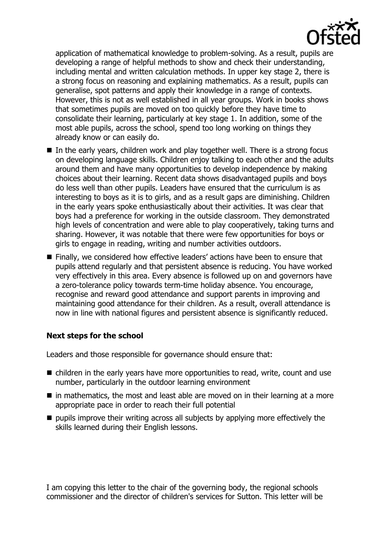

application of mathematical knowledge to problem-solving. As a result, pupils are developing a range of helpful methods to show and check their understanding, including mental and written calculation methods. In upper key stage 2, there is a strong focus on reasoning and explaining mathematics. As a result, pupils can generalise, spot patterns and apply their knowledge in a range of contexts. However, this is not as well established in all year groups. Work in books shows that sometimes pupils are moved on too quickly before they have time to consolidate their learning, particularly at key stage 1. In addition, some of the most able pupils, across the school, spend too long working on things they already know or can easily do.

- $\blacksquare$  In the early years, children work and play together well. There is a strong focus on developing language skills. Children enjoy talking to each other and the adults around them and have many opportunities to develop independence by making choices about their learning. Recent data shows disadvantaged pupils and boys do less well than other pupils. Leaders have ensured that the curriculum is as interesting to boys as it is to girls, and as a result gaps are diminishing. Children in the early years spoke enthusiastically about their activities. It was clear that boys had a preference for working in the outside classroom. They demonstrated high levels of concentration and were able to play cooperatively, taking turns and sharing. However, it was notable that there were few opportunities for boys or girls to engage in reading, writing and number activities outdoors.
- Finally, we considered how effective leaders' actions have been to ensure that pupils attend regularly and that persistent absence is reducing. You have worked very effectively in this area. Every absence is followed up on and governors have a zero-tolerance policy towards term-time holiday absence. You encourage, recognise and reward good attendance and support parents in improving and maintaining good attendance for their children. As a result, overall attendance is now in line with national figures and persistent absence is significantly reduced.

# **Next steps for the school**

Leaders and those responsible for governance should ensure that:

- children in the early years have more opportunities to read, write, count and use number, particularly in the outdoor learning environment
- $\blacksquare$  in mathematics, the most and least able are moved on in their learning at a more appropriate pace in order to reach their full potential
- $\blacksquare$  pupils improve their writing across all subjects by applying more effectively the skills learned during their English lessons.

I am copying this letter to the chair of the governing body, the regional schools commissioner and the director of children's services for Sutton. This letter will be